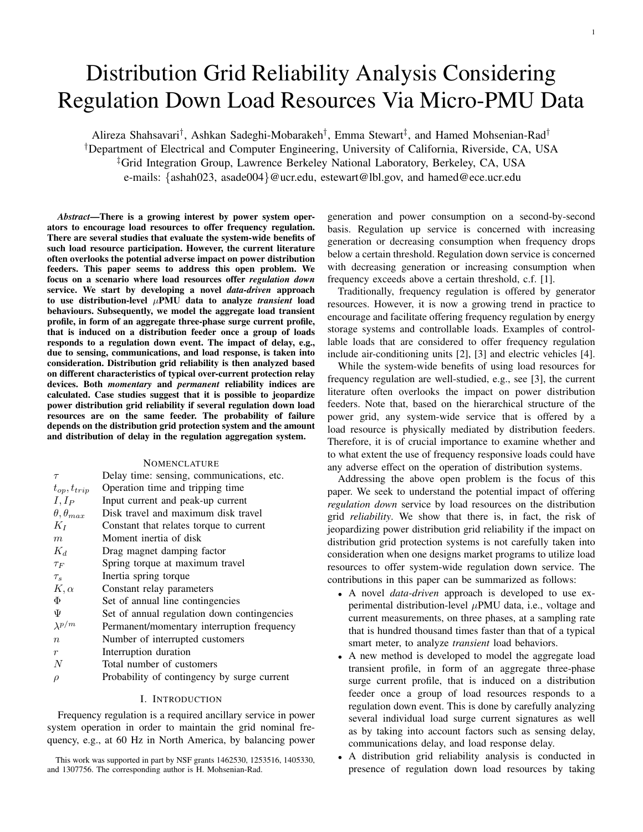# Distribution Grid Reliability Analysis Considering Regulation Down Load Resources Via Micro-PMU Data

Alireza Shahsavari<sup>†</sup>, Ashkan Sadeghi-Mobarakeh<sup>†</sup>, Emma Stewart<sup>‡</sup>, and Hamed Mohsenian-Rad<sup>†</sup> †Department of Electrical and Computer Engineering, University of California, Riverside, CA, USA ‡Grid Integration Group, Lawrence Berkeley National Laboratory, Berkeley, CA, USA e-mails: {ashah023, asade004}@ucr.edu, estewart@lbl.gov, and hamed@ece.ucr.edu

*Abstract*—There is a growing interest by power system operators to encourage load resources to offer frequency regulation. There are several studies that evaluate the system-wide benefits of such load resource participation. However, the current literature often overlooks the potential adverse impact on power distribution feeders. This paper seems to address this open problem. We focus on a scenario where load resources offer *regulation down* service. We start by developing a novel *data-driven* approach to use distribution-level  $\mu$ PMU data to analyze *transient* load behaviours. Subsequently, we model the aggregate load transient profile, in form of an aggregate three-phase surge current profile, that is induced on a distribution feeder once a group of loads responds to a regulation down event. The impact of delay, e.g., due to sensing, communications, and load response, is taken into consideration. Distribution grid reliability is then analyzed based on different characteristics of typical over-current protection relay devices. Both *momentary* and *permanent* reliability indices are calculated. Case studies suggest that it is possible to jeopardize power distribution grid reliability if several regulation down load resources are on the same feeder. The probability of failure depends on the distribution grid protection system and the amount and distribution of delay in the regulation aggregation system.

## **NOMENCLATURE**

| $\tau$                 | Delay time: sensing, communications, etc.   |
|------------------------|---------------------------------------------|
| $t_{op}, t_{trip}$     | Operation time and tripping time            |
| $I, I_P$               | Input current and peak-up current           |
| $\theta, \theta_{max}$ | Disk travel and maximum disk travel         |
| $K_I$                  | Constant that relates torque to current     |
| $\boldsymbol{m}$       | Moment inertia of disk                      |
| $K_d$                  | Drag magnet damping factor                  |
| $\tau_F$               | Spring torque at maximum travel             |
| $\tau_s$               | Inertia spring torque                       |
| $K, \alpha$            | Constant relay parameters                   |
| Φ                      | Set of annual line contingencies            |
| Ψ                      | Set of annual regulation down contingencies |
| $\lambda^{p/m}$        | Permanent/momentary interruption frequency  |
| $\boldsymbol{n}$       | Number of interrupted customers             |
| $\boldsymbol{r}$       | Interruption duration                       |
| N                      | Total number of customers                   |
| $\rho$                 | Probability of contingency by surge current |

## I. INTRODUCTION

Frequency regulation is a required ancillary service in power system operation in order to maintain the grid nominal frequency, e.g., at 60 Hz in North America, by balancing power

This work was supported in part by NSF grants 1462530, 1253516, 1405330, and 1307756. The corresponding author is H. Mohsenian-Rad.

generation and power consumption on a second-by-second basis. Regulation up service is concerned with increasing generation or decreasing consumption when frequency drops below a certain threshold. Regulation down service is concerned with decreasing generation or increasing consumption when frequency exceeds above a certain threshold, c.f. [1].

Traditionally, frequency regulation is offered by generator resources. However, it is now a growing trend in practice to encourage and facilitate offering frequency regulation by energy storage systems and controllable loads. Examples of controllable loads that are considered to offer frequency regulation include air-conditioning units [2], [3] and electric vehicles [4].

While the system-wide benefits of using load resources for frequency regulation are well-studied, e.g., see [3], the current literature often overlooks the impact on power distribution feeders. Note that, based on the hierarchical structure of the power grid, any system-wide service that is offered by a load resource is physically mediated by distribution feeders. Therefore, it is of crucial importance to examine whether and to what extent the use of frequency responsive loads could have any adverse effect on the operation of distribution systems.

Addressing the above open problem is the focus of this paper. We seek to understand the potential impact of offering *regulation down* service by load resources on the distribution grid *reliability*. We show that there is, in fact, the risk of jeopardizing power distribution grid reliability if the impact on distribution grid protection systems is not carefully taken into consideration when one designs market programs to utilize load resources to offer system-wide regulation down service. The contributions in this paper can be summarized as follows:

- A novel *data-driven* approach is developed to use experimental distribution-level  $\mu$ PMU data, i.e., voltage and current measurements, on three phases, at a sampling rate that is hundred thousand times faster than that of a typical smart meter, to analyze *transient* load behaviors.
- A new method is developed to model the aggregate load transient profile, in form of an aggregate three-phase surge current profile, that is induced on a distribution feeder once a group of load resources responds to a regulation down event. This is done by carefully analyzing several individual load surge current signatures as well as by taking into account factors such as sensing delay, communications delay, and load response delay.
- A distribution grid reliability analysis is conducted in presence of regulation down load resources by taking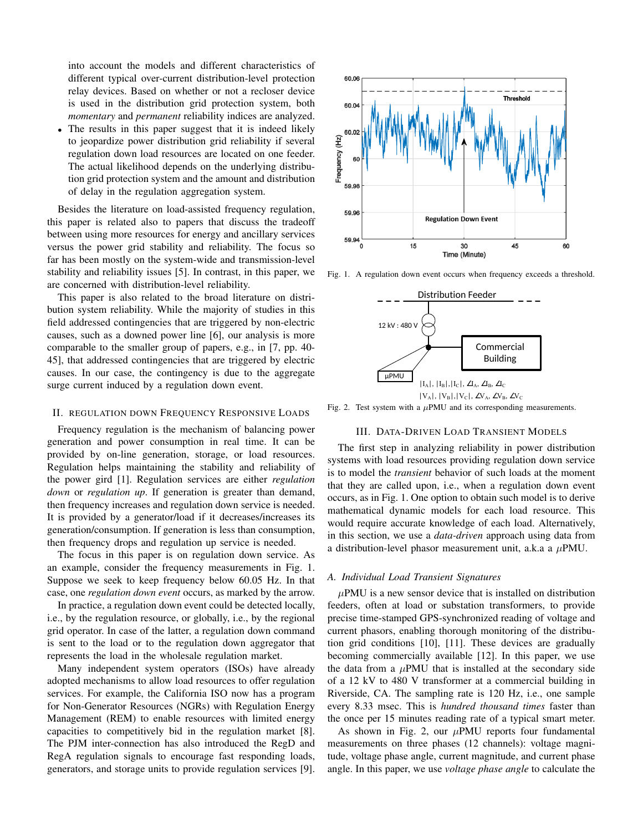into account the models and different characteristics of different typical over-current distribution-level protection relay devices. Based on whether or not a recloser device is used in the distribution grid protection system, both *momentary* and *permanent* reliability indices are analyzed.

The results in this paper suggest that it is indeed likely to jeopardize power distribution grid reliability if several regulation down load resources are located on one feeder. The actual likelihood depends on the underlying distribution grid protection system and the amount and distribution of delay in the regulation aggregation system.

Besides the literature on load-assisted frequency regulation, this paper is related also to papers that discuss the tradeoff between using more resources for energy and ancillary services versus the power grid stability and reliability. The focus so far has been mostly on the system-wide and transmission-level stability and reliability issues [5]. In contrast, in this paper, we are concerned with distribution-level reliability.

This paper is also related to the broad literature on distribution system reliability. While the majority of studies in this field addressed contingencies that are triggered by non-electric causes, such as a downed power line [6], our analysis is more comparable to the smaller group of papers, e.g., in [7, pp. 40- 45], that addressed contingencies that are triggered by electric causes. In our case, the contingency is due to the aggregate surge current induced by a regulation down event.

#### II. REGULATION DOWN FREQUENCY RESPONSIVE LOADS

Frequency regulation is the mechanism of balancing power generation and power consumption in real time. It can be provided by on-line generation, storage, or load resources. Regulation helps maintaining the stability and reliability of the power gird [1]. Regulation services are either *regulation down* or *regulation up*. If generation is greater than demand, then frequency increases and regulation down service is needed. It is provided by a generator/load if it decreases/increases its generation/consumption. If generation is less than consumption, then frequency drops and regulation up service is needed.

The focus in this paper is on regulation down service. As an example, consider the frequency measurements in Fig. 1. Suppose we seek to keep frequency below 60.05 Hz. In that case, one *regulation down event* occurs, as marked by the arrow.

In practice, a regulation down event could be detected locally, i.e., by the regulation resource, or globally, i.e., by the regional grid operator. In case of the latter, a regulation down command is sent to the load or to the regulation down aggregator that represents the load in the wholesale regulation market.

Many independent system operators (ISOs) have already adopted mechanisms to allow load resources to offer regulation services. For example, the California ISO now has a program for Non-Generator Resources (NGRs) with Regulation Energy Management (REM) to enable resources with limited energy capacities to competitively bid in the regulation market [8]. The PJM inter-connection has also introduced the RegD and RegA regulation signals to encourage fast responding loads, generators, and storage units to provide regulation services [9].



Fig. 1. A regulation down event occurs when frequency exceeds a threshold.



Fig. 2. Test system with a  $\mu$ PMU and its corresponding measurements.

## III. DATA-DRIVEN LOAD TRANSIENT MODELS

The first step in analyzing reliability in power distribution systems with load resources providing regulation down service is to model the *transient* behavior of such loads at the moment that they are called upon, i.e., when a regulation down event occurs, as in Fig. 1. One option to obtain such model is to derive mathematical dynamic models for each load resource. This would require accurate knowledge of each load. Alternatively, in this section, we use a *data-driven* approach using data from a distribution-level phasor measurement unit, a.k.a a  $\mu$ PMU.

## *A. Individual Load Transient Signatures*

 $\mu$ PMU is a new sensor device that is installed on distribution feeders, often at load or substation transformers, to provide precise time-stamped GPS-synchronized reading of voltage and current phasors, enabling thorough monitoring of the distribution grid conditions [10], [11]. These devices are gradually becoming commercially available [12]. In this paper, we use the data from a  $\mu$ PMU that is installed at the secondary side of a 12 kV to 480 V transformer at a commercial building in Riverside, CA. The sampling rate is 120 Hz, i.e., one sample every 8.33 msec. This is *hundred thousand times* faster than the once per 15 minutes reading rate of a typical smart meter.

As shown in Fig. 2, our  $\mu$ PMU reports four fundamental measurements on three phases (12 channels): voltage magnitude, voltage phase angle, current magnitude, and current phase angle. In this paper, we use *voltage phase angle* to calculate the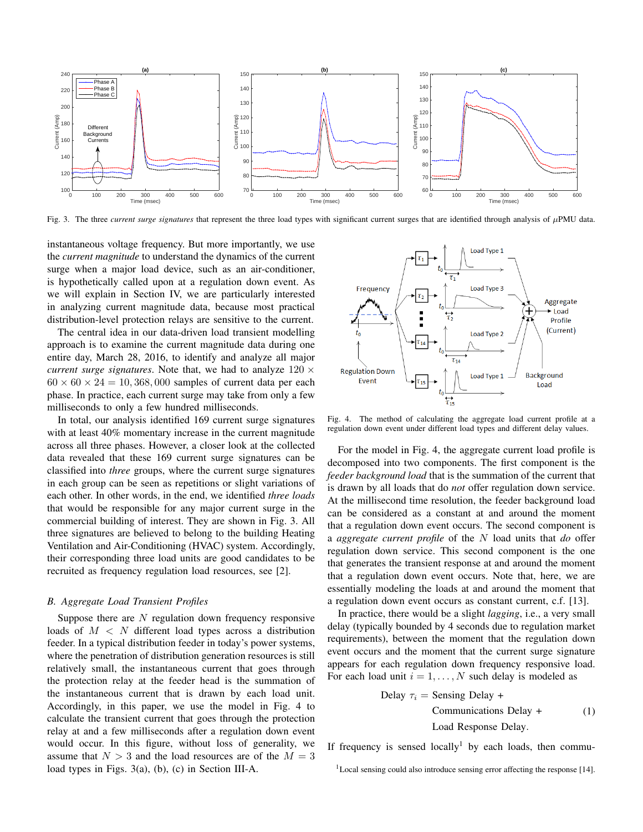

Fig. 3. The three *current surge signatures* that represent the three load types with significant current surges that are identified through analysis of  $\mu$ PMU data.

instantaneous voltage frequency. But more importantly, we use the *current magnitude* to understand the dynamics of the current surge when a major load device, such as an air-conditioner, is hypothetically called upon at a regulation down event. As we will explain in Section IV, we are particularly interested in analyzing current magnitude data, because most practical distribution-level protection relays are sensitive to the current.

The central idea in our data-driven load transient modelling approach is to examine the current magnitude data during one entire day, March 28, 2016, to identify and analyze all major *current surge signatures*. Note that, we had to analyze  $120 \times$  $60 \times 60 \times 24 = 10,368,000$  samples of current data per each phase. In practice, each current surge may take from only a few milliseconds to only a few hundred milliseconds.

In total, our analysis identified 169 current surge signatures with at least 40% momentary increase in the current magnitude across all three phases. However, a closer look at the collected data revealed that these 169 current surge signatures can be classified into *three* groups, where the current surge signatures in each group can be seen as repetitions or slight variations of each other. In other words, in the end, we identified *three loads* that would be responsible for any major current surge in the commercial building of interest. They are shown in Fig. 3. All three signatures are believed to belong to the building Heating Ventilation and Air-Conditioning (HVAC) system. Accordingly, their corresponding three load units are good candidates to be recruited as frequency regulation load resources, see [2].

## *B. Aggregate Load Transient Profiles*

Suppose there are  $N$  regulation down frequency responsive loads of  $M < N$  different load types across a distribution feeder. In a typical distribution feeder in today's power systems, where the penetration of distribution generation resources is still relatively small, the instantaneous current that goes through the protection relay at the feeder head is the summation of the instantaneous current that is drawn by each load unit. Accordingly, in this paper, we use the model in Fig. 4 to calculate the transient current that goes through the protection relay at and a few milliseconds after a regulation down event would occur. In this figure, without loss of generality, we assume that  $N > 3$  and the load resources are of the  $M = 3$ load types in Figs. 3(a), (b), (c) in Section III-A.



Fig. 4. The method of calculating the aggregate load current profile at a regulation down event under different load types and different delay values.

For the model in Fig. 4, the aggregate current load profile is decomposed into two components. The first component is the *feeder background load* that is the summation of the current that is drawn by all loads that do *not* offer regulation down service. At the millisecond time resolution, the feeder background load can be considered as a constant at and around the moment that a regulation down event occurs. The second component is a *aggregate current profile* of the N load units that *do* offer regulation down service. This second component is the one that generates the transient response at and around the moment that a regulation down event occurs. Note that, here, we are essentially modeling the loads at and around the moment that a regulation down event occurs as constant current, c.f. [13].

In practice, there would be a slight *lagging*, i.e., a very small delay (typically bounded by 4 seconds due to regulation market requirements), between the moment that the regulation down event occurs and the moment that the current surge signature appears for each regulation down frequency responsive load. For each load unit  $i = 1, \ldots, N$  such delay is modeled as

Delay 
$$
\tau_i
$$
 = Sensing Delay +

\nCommunications Delay +

\nLoad Response Delay.

\n(1)

If frequency is sensed  $locally^1$  by each loads, then commu-

<sup>1</sup>Local sensing could also introduce sensing error affecting the response [14].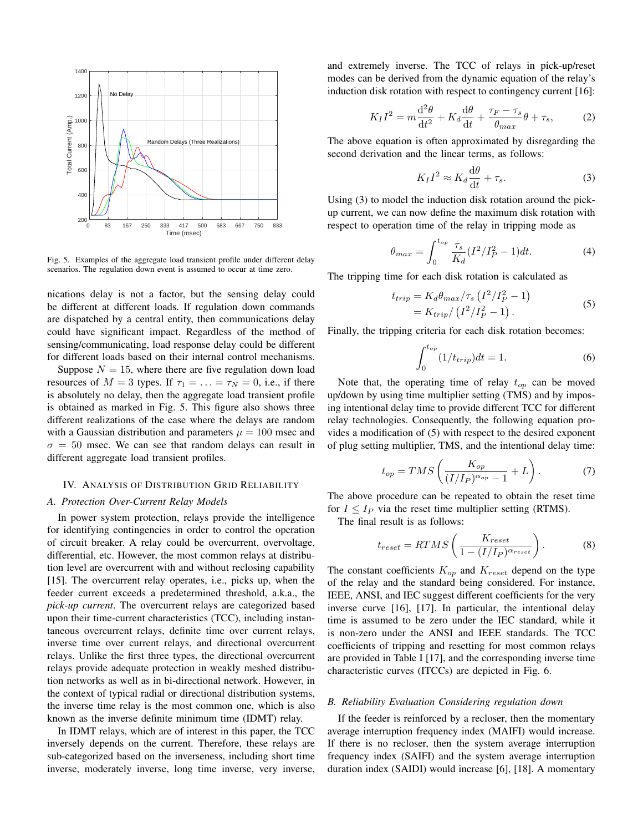

Fig. 5. Examples of the aggregate load transient profile under different delay scenarios. The regulation down event is assumed to occur at time zero.

nications delay is not a factor, but the sensing delay could be different at different loads. If regulation down commands are dispatched by a central entity, then communications delay could have significant impact. Regardless of the method of sensing/communicating, load response delay could be different for different loads based on their internal control mechanisms.

Suppose  $N = 15$ , where there are five regulation down load resources of  $M = 3$  types. If  $\tau_1 = \ldots = \tau_N = 0$ , i.e., if there is absolutely no delay, then the aggregate load transient profile is obtained as marked in Fig. 5. This figure also shows three different realizations of the case where the delays are random with a Gaussian distribution and parameters  $\mu = 100$  msec and  $\sigma = 50$  msec. We can see that random delays can result in different aggregate load transient profiles.

#### IV. ANALYSIS OF DISTRIBUTION GRID RELIABILITY

# *A. Protection Over-Current Relay Models*

In power system protection, relays provide the intelligence for identifying contingencies in order to control the operation of circuit breaker. A relay could be overcurrent, overvoltage, differential, etc. However, the most common relays at distribution level are overcurrent with and without reclosing capability [15]. The overcurrent relay operates, i.e., picks up, when the feeder current exceeds a predetermined threshold, a.k.a., the *pick-up current*. The overcurrent relays are categorized based upon their time-current characteristics (TCC), including instantaneous overcurrent relays, definite time over current relays, inverse time over current relays, and directional overcurrent relays. Unlike the first three types, the directional overcurrent relays provide adequate protection in weakly meshed distribution networks as well as in bi-directional network. However, in the context of typical radial or directional distribution systems, the inverse time relay is the most common one, which is also known as the inverse definite minimum time (IDMT) relay.

In IDMT relays, which are of interest in this paper, the TCC inversely depends on the current. Therefore, these relays are sub-categorized based on the inverseness, including short time inverse, moderately inverse, long time inverse, very inverse, and extremely inverse. The TCC of relays in pick-up/reset modes can be derived from the dynamic equation of the relay's induction disk rotation with respect to contingency current [16]:

$$
K_I I^2 = m \frac{\mathrm{d}^2 \theta}{\mathrm{d}t^2} + K_d \frac{\mathrm{d}\theta}{\mathrm{d}t} + \frac{\tau_F - \tau_s}{\theta_{max}} \theta + \tau_s, \tag{2}
$$

The above equation is often approximated by disregarding the second derivation and the linear terms, as follows:

$$
K_I I^2 \approx K_d \frac{\mathrm{d}\theta}{\mathrm{d}t} + \tau_s. \tag{3}
$$

Using (3) to model the induction disk rotation around the pickup current, we can now define the maximum disk rotation with respect to operation time of the relay in tripping mode as

$$
\theta_{max} = \int_0^{t_{op}} \frac{\tau_s}{K_d} (I^2/I_P^2 - 1) dt.
$$
 (4)

The tripping time for each disk rotation is calculated as

$$
t_{trip} = K_d \theta_{max} / \tau_s \left( I^2 / I_P^2 - 1 \right)
$$
  
=  $K_{trip} / \left( I^2 / I_P^2 - 1 \right)$ . (5)

Finally, the tripping criteria for each disk rotation becomes:

$$
\int_0^{t_{op}} (1/t_{trip}) dt = 1.
$$
 (6)

Note that, the operating time of relay  $t_{op}$  can be moved up/down by using time multiplier setting (TMS) and by imposing intentional delay time to provide different TCC for different relay technologies. Consequently, the following equation provides a modification of (5) with respect to the desired exponent of plug setting multiplier, TMS, and the intentional delay time:

$$
t_{op} = TMS\left(\frac{K_{op}}{(I/I_P)^{\alpha_{op}} - 1} + L\right). \tag{7}
$$

The above procedure can be repeated to obtain the reset time for  $I \leq I_P$  via the reset time multiplier setting (RTMS).

The final result is as follows:

$$
t_{reset} = RTMS\left(\frac{K_{reset}}{1 - (I/I_P)^{\alpha_{reset}}}\right). \tag{8}
$$

The constant coefficients  $K_{op}$  and  $K_{reset}$  depend on the type of the relay and the standard being considered. For instance, IEEE, ANSI, and IEC suggest different coefficients for the very inverse curve [16], [17]. In particular, the intentional delay time is assumed to be zero under the IEC standard, while it is non-zero under the ANSI and IEEE standards. The TCC coefficients of tripping and resetting for most common relays are provided in Table I [17], and the corresponding inverse time characteristic curves (ITCCs) are depicted in Fig. 6.

## *B. Reliability Evaluation Considering regulation down*

If the feeder is reinforced by a recloser, then the momentary average interruption frequency index (MAIFI) would increase. If there is no recloser, then the system average interruption frequency index (SAIFI) and the system average interruption duration index (SAIDI) would increase [6], [18]. A momentary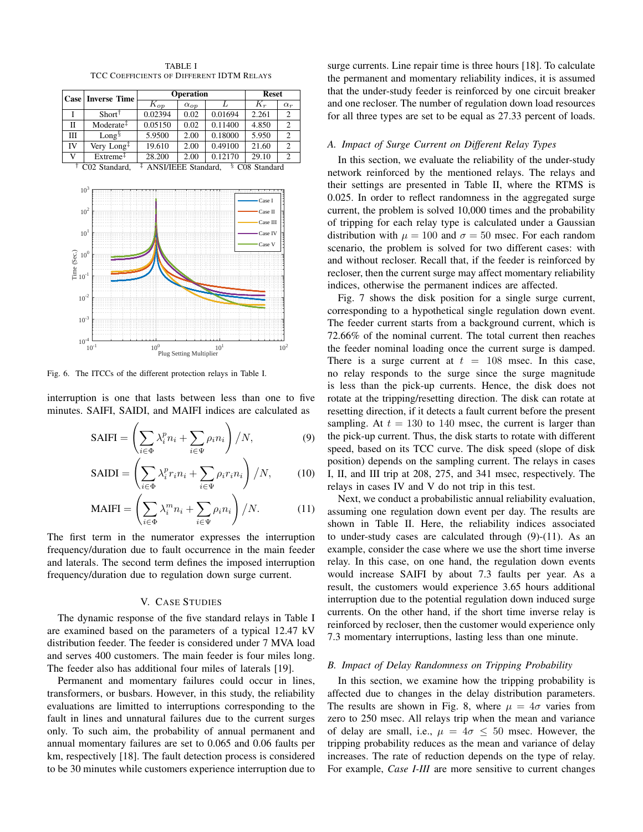

TABLE I TCC COEFFICIENTS OF DIFFERENT IDTM RELAYS

Fig. 6. The ITCCs of the different protection relays in Table I.

interruption is one that lasts between less than one to five minutes. SAIFI, SAIDI, and MAIFI indices are calculated as

$$
SAIFI = \left(\sum_{i \in \Phi} \lambda_i^p n_i + \sum_{i \in \Psi} \rho_i n_i\right) / N,\tag{9}
$$

$$
\text{SAIDI} = \left(\sum_{i \in \Phi} \lambda_i^p r_i n_i + \sum_{i \in \Psi} \rho_i r_i n_i\right) / N,\tag{10}
$$

$$
\text{MAIFI} = \left(\sum_{i \in \Phi} \lambda_i^m n_i + \sum_{i \in \Psi} \rho_i n_i\right) / N. \tag{11}
$$

The first term in the numerator expresses the interruption frequency/duration due to fault occurrence in the main feeder and laterals. The second term defines the imposed interruption frequency/duration due to regulation down surge current.

## V. CASE STUDIES

The dynamic response of the five standard relays in Table I are examined based on the parameters of a typical 12.47 kV distribution feeder. The feeder is considered under 7 MVA load and serves 400 customers. The main feeder is four miles long. The feeder also has additional four miles of laterals [19].

Permanent and momentary failures could occur in lines, transformers, or busbars. However, in this study, the reliability evaluations are limitted to interruptions corresponding to the fault in lines and unnatural failures due to the current surges only. To such aim, the probability of annual permanent and annual momentary failures are set to 0.065 and 0.06 faults per km, respectively [18]. The fault detection process is considered to be 30 minutes while customers experience interruption due to surge currents. Line repair time is three hours [18]. To calculate the permanent and momentary reliability indices, it is assumed that the under-study feeder is reinforced by one circuit breaker and one recloser. The number of regulation down load resources for all three types are set to be equal as 27.33 percent of loads.

## *A. Impact of Surge Current on Different Relay Types*

In this section, we evaluate the reliability of the under-study network reinforced by the mentioned relays. The relays and their settings are presented in Table II, where the RTMS is 0.025. In order to reflect randomness in the aggregated surge current, the problem is solved 10,000 times and the probability of tripping for each relay type is calculated under a Gaussian distribution with  $\mu = 100$  and  $\sigma = 50$  msec. For each random scenario, the problem is solved for two different cases: with and without recloser. Recall that, if the feeder is reinforced by recloser, then the current surge may affect momentary reliability indices, otherwise the permanent indices are affected.

Fig. 7 shows the disk position for a single surge current, corresponding to a hypothetical single regulation down event. The feeder current starts from a background current, which is 72.66% of the nominal current. The total current then reaches the feeder nominal loading once the current surge is damped. There is a surge current at  $t = 108$  msec. In this case, no relay responds to the surge since the surge magnitude is less than the pick-up currents. Hence, the disk does not rotate at the tripping/resetting direction. The disk can rotate at resetting direction, if it detects a fault current before the present sampling. At  $t = 130$  to 140 msec, the current is larger than the pick-up current. Thus, the disk starts to rotate with different speed, based on its TCC curve. The disk speed (slope of disk position) depends on the sampling current. The relays in cases I, II, and III trip at 208, 275, and 341 msec, respectively. The relays in cases IV and V do not trip in this test.

Next, we conduct a probabilistic annual reliability evaluation, assuming one regulation down event per day. The results are shown in Table II. Here, the reliability indices associated to under-study cases are calculated through (9)-(11). As an example, consider the case where we use the short time inverse relay. In this case, on one hand, the regulation down events would increase SAIFI by about 7.3 faults per year. As a result, the customers would experience 3.65 hours additional interruption due to the potential regulation down induced surge currents. On the other hand, if the short time inverse relay is reinforced by recloser, then the customer would experience only 7.3 momentary interruptions, lasting less than one minute.

## *B. Impact of Delay Randomness on Tripping Probability*

In this section, we examine how the tripping probability is affected due to changes in the delay distribution parameters. The results are shown in Fig. 8, where  $\mu = 4\sigma$  varies from zero to 250 msec. All relays trip when the mean and variance of delay are small, i.e.,  $\mu = 4\sigma \leq 50$  msec. However, the tripping probability reduces as the mean and variance of delay increases. The rate of reduction depends on the type of relay. For example, *Case I-III* are more sensitive to current changes